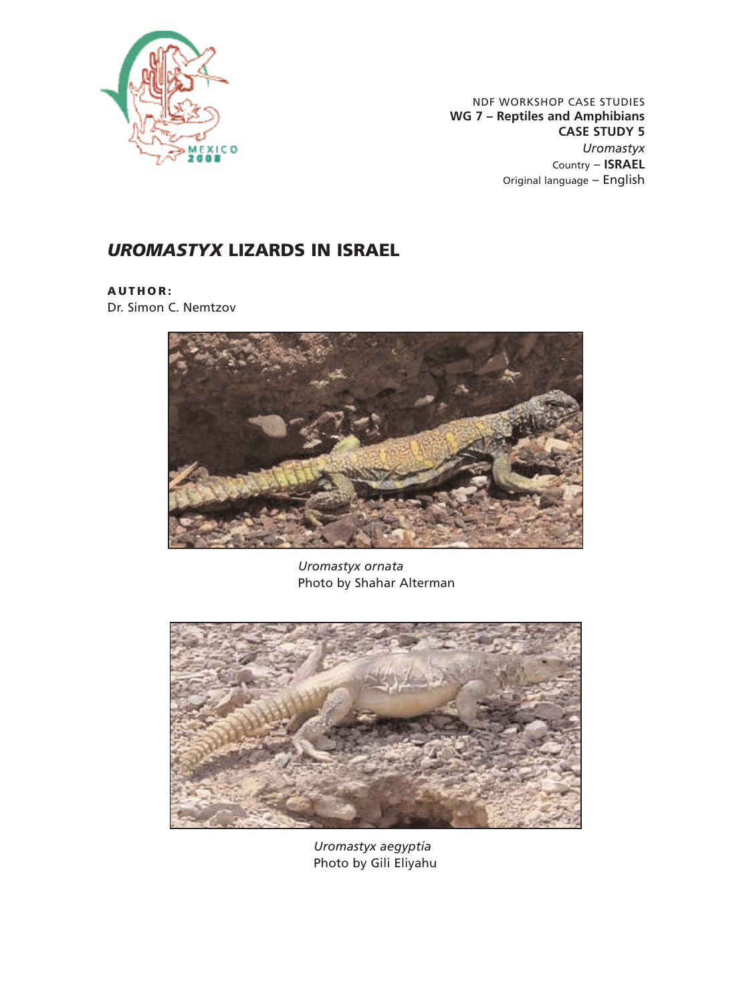

NDF WORKSHOP CASE STUDIES **WG 7 – Reptiles and Amphibians CASE STUDY 5** *Uromastyx* Country – **ISRAEL** Original language – English

# *UROMASTYX* **LIZARDS IN ISRAEL**

**AUTHOR:**

Dr. Simon C. Nemtzov



*Uromastyx ornata* Photo by Shahar Alterman



*Uromastyx aegyptia* Photo by Gili Eliyahu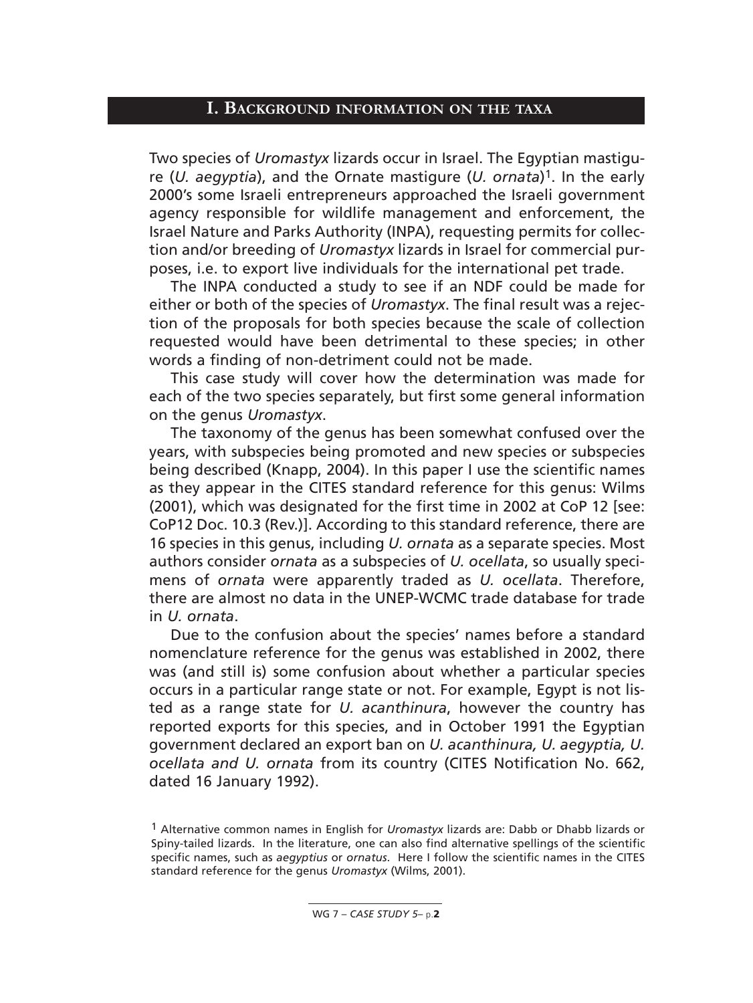#### **I. BACKGROUND INFORMATION ON THE TAXA**

Two species of *Uromastyx* lizards occur in Israel. The Egyptian mastigure (*U. aegyptia*), and the Ornate mastigure (*U. ornata*)1. In the early 2000's some Israeli entrepreneurs approached the Israeli government agency responsible for wildlife management and enforcement, the Israel Nature and Parks Authority (INPA), requesting permits for collection and/or breeding of *Uromastyx* lizards in Israel for commercial purposes, i.e. to export live individuals for the international pet trade.

The INPA conducted a study to see if an NDF could be made for either or both of the species of *Uromastyx*. The final result was a rejection of the proposals for both species because the scale of collection requested would have been detrimental to these species; in other words a finding of non-detriment could not be made.

This case study will cover how the determination was made for each of the two species separately, but first some general information on the genus *Uromastyx*.

The taxonomy of the genus has been somewhat confused over the years, with subspecies being promoted and new species or subspecies being described (Knapp, 2004). In this paper I use the scientific names as they appear in the CITES standard reference for this genus: Wilms (2001), which was designated for the first time in 2002 at CoP 12 [see: CoP12 Doc. 10.3 (Rev.)]. According to this standard reference, there are 16 species in this genus, including *U. ornata* as a separate species. Most authors consider *ornata* as a subspecies of *U. ocellata*, so usually specimens of *ornata* were apparently traded as *U. ocellata*. Therefore, there are almost no data in the UNEP-WCMC trade database for trade in *U. ornata*.

Due to the confusion about the species' names before a standard nomenclature reference for the genus was established in 2002, there was (and still is) some confusion about whether a particular species occurs in a particular range state or not. For example, Egypt is not listed as a range state for *U. acanthinura*, however the country has reported exports for this species, and in October 1991 the Egyptian government declared an export ban on *U. acanthinura, U. aegyptia, U. ocellata and U. ornata* from its country (CITES Notification No. 662, dated 16 January 1992).

<sup>1</sup> Alternative common names in English for *Uromastyx* lizards are: Dabb or Dhabb lizards or Spiny-tailed lizards. In the literature, one can also find alternative spellings of the scientific specific names, such as *aegyptius* or *ornatus*. Here I follow the scientific names in the CITES standard reference for the genus *Uromastyx* (Wilms, 2001).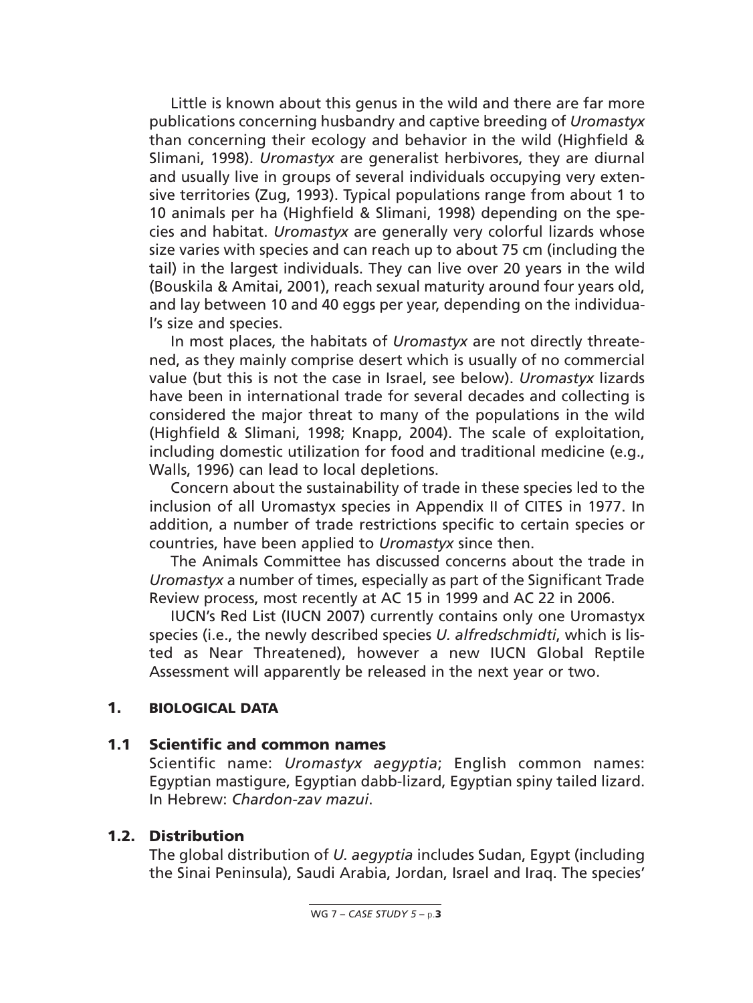Little is known about this genus in the wild and there are far more publications concerning husbandry and captive breeding of *Uromastyx* than concerning their ecology and behavior in the wild (Highfield & Slimani, 1998). *Uromastyx* are generalist herbivores, they are diurnal and usually live in groups of several individuals occupying very extensive territories (Zug, 1993). Typical populations range from about 1 to 10 animals per ha (Highfield & Slimani, 1998) depending on the species and habitat. *Uromastyx* are generally very colorful lizards whose size varies with species and can reach up to about 75 cm (including the tail) in the largest individuals. They can live over 20 years in the wild (Bouskila & Amitai, 2001), reach sexual maturity around four years old, and lay between 10 and 40 eggs per year, depending on the individual's size and species.

In most places, the habitats of *Uromastyx* are not directly threatened, as they mainly comprise desert which is usually of no commercial value (but this is not the case in Israel, see below). *Uromastyx* lizards have been in international trade for several decades and collecting is considered the major threat to many of the populations in the wild (Highfield & Slimani, 1998; Knapp, 2004). The scale of exploitation, including domestic utilization for food and traditional medicine (e.g., Walls, 1996) can lead to local depletions.

Concern about the sustainability of trade in these species led to the inclusion of all Uromastyx species in Appendix II of CITES in 1977. In addition, a number of trade restrictions specific to certain species or countries, have been applied to *Uromastyx* since then.

The Animals Committee has discussed concerns about the trade in *Uromastyx* a number of times, especially as part of the Significant Trade Review process, most recently at AC 15 in 1999 and AC 22 in 2006.

IUCN's Red List (IUCN 2007) currently contains only one Uromastyx species (i.e., the newly described species *U. alfredschmidti*, which is listed as Near Threatened), however a new IUCN Global Reptile Assessment will apparently be released in the next year or two.

#### **1. BIOLOGICAL DATA**

#### **1.1 Scientific and common names**

Scientific name: *Uromastyx aegyptia*; English common names: Egyptian mastigure, Egyptian dabb-lizard, Egyptian spiny tailed lizard. In Hebrew: *Chardon-zav mazui*.

#### **1.2. Distribution**

The global distribution of *U. aegyptia* includes Sudan, Egypt (including the Sinai Peninsula), Saudi Arabia, Jordan, Israel and Iraq. The species'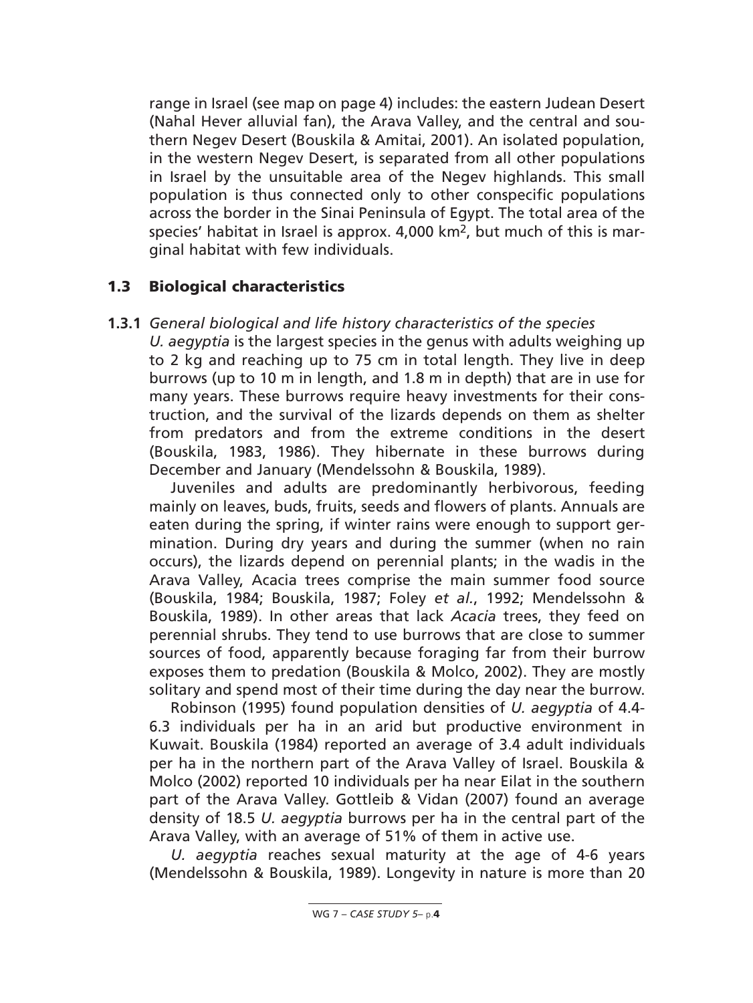range in Israel (see map on page 4) includes: the eastern Judean Desert (Nahal Hever alluvial fan), the Arava Valley, and the central and southern Negev Desert (Bouskila & Amitai, 2001). An isolated population, in the western Negev Desert, is separated from all other populations in Israel by the unsuitable area of the Negev highlands. This small population is thus connected only to other conspecific populations across the border in the Sinai Peninsula of Egypt. The total area of the species' habitat in Israel is approx. 4,000 km2, but much of this is marginal habitat with few individuals.

### **1.3 Biological characteristics**

#### **1.3.1** *General biological and life history characteristics of the species*

*U. aegyptia* is the largest species in the genus with adults weighing up to 2 kg and reaching up to 75 cm in total length. They live in deep burrows (up to 10 m in length, and 1.8 m in depth) that are in use for many years. These burrows require heavy investments for their construction, and the survival of the lizards depends on them as shelter from predators and from the extreme conditions in the desert (Bouskila, 1983, 1986). They hibernate in these burrows during December and January (Mendelssohn & Bouskila, 1989).

Juveniles and adults are predominantly herbivorous, feeding mainly on leaves, buds, fruits, seeds and flowers of plants. Annuals are eaten during the spring, if winter rains were enough to support germination. During dry years and during the summer (when no rain occurs), the lizards depend on perennial plants; in the wadis in the Arava Valley, Acacia trees comprise the main summer food source (Bouskila, 1984; Bouskila, 1987; Foley *et al.*, 1992; Mendelssohn & Bouskila, 1989). In other areas that lack *Acacia* trees, they feed on perennial shrubs. They tend to use burrows that are close to summer sources of food, apparently because foraging far from their burrow exposes them to predation (Bouskila & Molco, 2002). They are mostly solitary and spend most of their time during the day near the burrow.

Robinson (1995) found population densities of *U. aegyptia* of 4.4- 6.3 individuals per ha in an arid but productive environment in Kuwait. Bouskila (1984) reported an average of 3.4 adult individuals per ha in the northern part of the Arava Valley of Israel. Bouskila & Molco (2002) reported 10 individuals per ha near Eilat in the southern part of the Arava Valley. Gottleib & Vidan (2007) found an average density of 18.5 *U. aegyptia* burrows per ha in the central part of the Arava Valley, with an average of 51% of them in active use.

*U. aegyptia* reaches sexual maturity at the age of 4-6 years (Mendelssohn & Bouskila, 1989). Longevity in nature is more than 20

WG 7 – *CASE STUDY 5*– p.**4**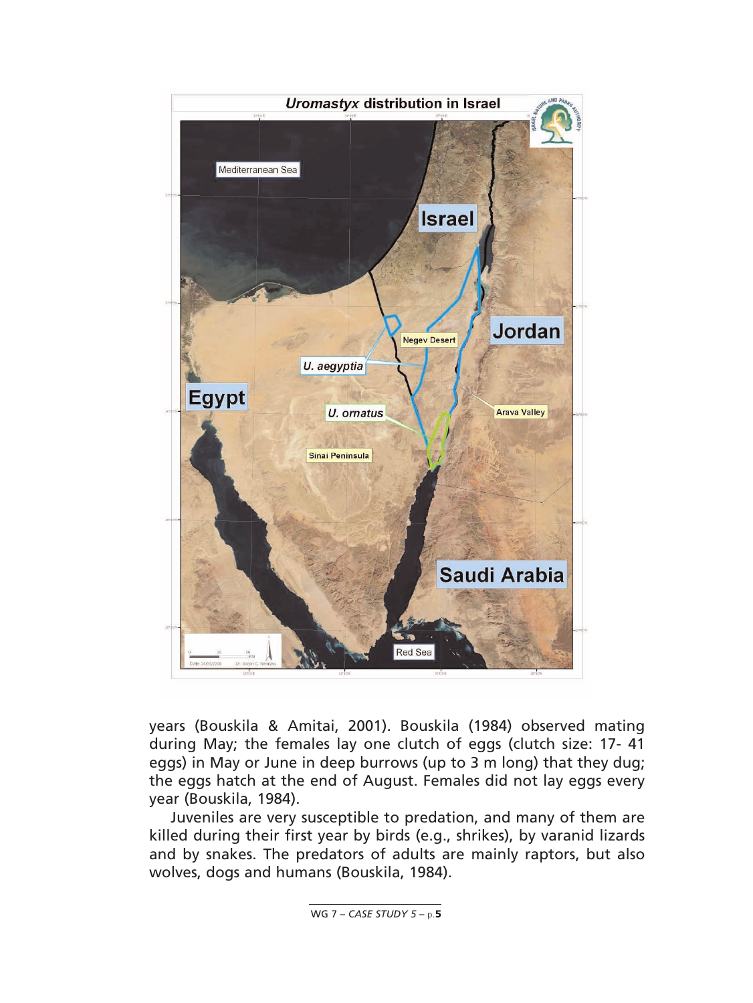

years (Bouskila & Amitai, 2001). Bouskila (1984) observed mating during May; the females lay one clutch of eggs (clutch size: 17- 41 eggs) in May or June in deep burrows (up to 3 m long) that they dug; the eggs hatch at the end of August. Females did not lay eggs every year (Bouskila, 1984).

Juveniles are very susceptible to predation, and many of them are killed during their first year by birds (e.g., shrikes), by varanid lizards and by snakes. The predators of adults are mainly raptors, but also wolves, dogs and humans (Bouskila, 1984).

WG 7 – *CASE STUDY 5* – p.**5**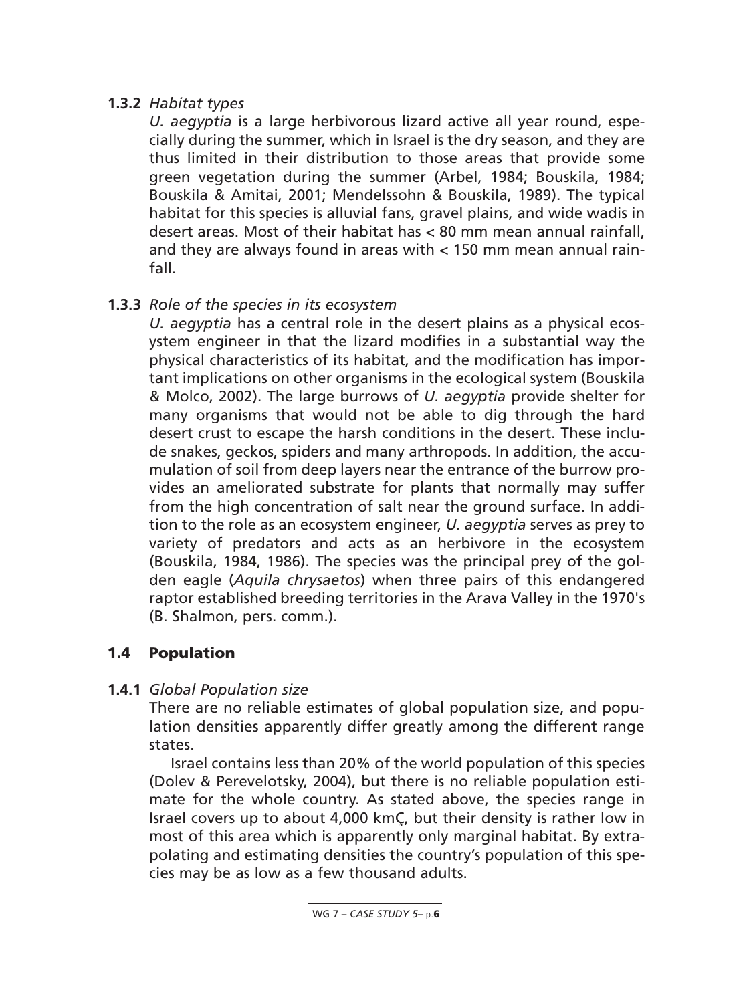## **1.3.2** *Habitat types*

*U. aegyptia* is a large herbivorous lizard active all year round, especially during the summer, which in Israel is the dry season, and they are thus limited in their distribution to those areas that provide some green vegetation during the summer (Arbel, 1984; Bouskila, 1984; Bouskila & Amitai, 2001; Mendelssohn & Bouskila, 1989). The typical habitat for this species is alluvial fans, gravel plains, and wide wadis in desert areas. Most of their habitat has < 80 mm mean annual rainfall, and they are always found in areas with  $<$  150 mm mean annual rainfall.

# **1.3.3** *Role of the species in its ecosystem*

*U. aegyptia* has a central role in the desert plains as a physical ecosystem engineer in that the lizard modifies in a substantial way the physical characteristics of its habitat, and the modification has important implications on other organisms in the ecological system (Bouskila & Molco, 2002). The large burrows of *U. aegyptia* provide shelter for many organisms that would not be able to dig through the hard desert crust to escape the harsh conditions in the desert. These include snakes, geckos, spiders and many arthropods. In addition, the accumulation of soil from deep layers near the entrance of the burrow provides an ameliorated substrate for plants that normally may suffer from the high concentration of salt near the ground surface. In addition to the role as an ecosystem engineer, *U. aegyptia* serves as prey to variety of predators and acts as an herbivore in the ecosystem (Bouskila, 1984, 1986). The species was the principal prey of the golden eagle (*Aquila chrysaetos*) when three pairs of this endangered raptor established breeding territories in the Arava Valley in the 1970's (B. Shalmon, pers. comm.).

## **1.4 Population**

## **1.4.1** *Global Population size*

There are no reliable estimates of global population size, and population densities apparently differ greatly among the different range states.

Israel contains less than 20% of the world population of this species (Dolev & Perevelotsky, 2004), but there is no reliable population estimate for the whole country. As stated above, the species range in Israel covers up to about 4,000 kmÇ, but their density is rather low in most of this area which is apparently only marginal habitat. By extrapolating and estimating densities the country's population of this species may be as low as a few thousand adults.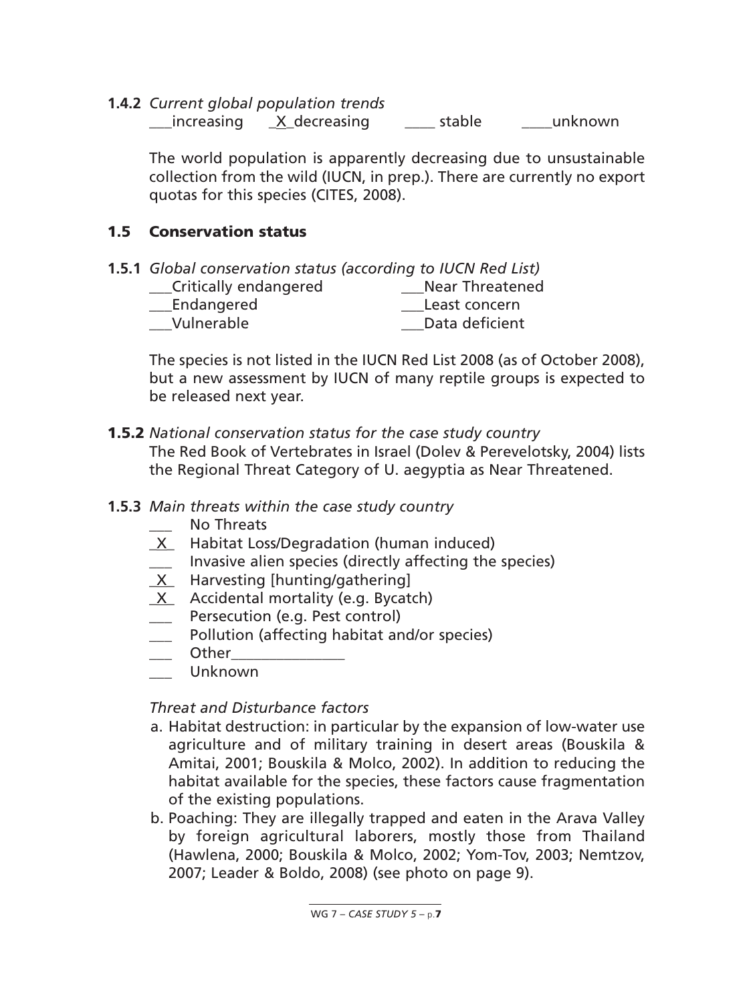**1.4.2** *Current global population trends*

\_\_\_increasing \_X\_decreasing \_\_\_\_ stable \_\_\_\_unknown

The world population is apparently decreasing due to unsustainable collection from the wild (IUCN, in prep.). There are currently no export quotas for this species (CITES, 2008).

## **1.5 Conservation status**

| 1.5.1 Global conservation status (according to IUCN Red List) |                        |  |  |  |  |
|---------------------------------------------------------------|------------------------|--|--|--|--|
| Critically endangered                                         | <b>Near Threatened</b> |  |  |  |  |
| Endangered                                                    | Least concern          |  |  |  |  |
| Vulnerable                                                    | Data deficient         |  |  |  |  |

The species is not listed in the IUCN Red List 2008 (as of October 2008), but a new assessment by IUCN of many reptile groups is expected to be released next year.

- **1.5.2** *National conservation status for the case study country* The Red Book of Vertebrates in Israel (Dolev & Perevelotsky, 2004) lists the Regional Threat Category of U. aegyptia as Near Threatened.
- **1.5.3** *Main threats within the case study country*
	- No Threats
	- \_X\_ Habitat Loss/Degradation (human induced)
	- \_\_\_ Invasive alien species (directly affecting the species)
	- $X$  Harvesting [hunting/gathering]
	- X Accidental mortality (e.g. Bycatch)
	- **LETT** Persecution (e.g. Pest control)
	- \_\_\_ Pollution (affecting habitat and/or species)
	- $\rule{1em}{0}$  Other\_
	- \_\_\_ Unknown

*Threat and Disturbance factors*

- a. Habitat destruction: in particular by the expansion of low-water use agriculture and of military training in desert areas (Bouskila & Amitai, 2001; Bouskila & Molco, 2002). In addition to reducing the habitat available for the species, these factors cause fragmentation of the existing populations.
- b. Poaching: They are illegally trapped and eaten in the Arava Valley by foreign agricultural laborers, mostly those from Thailand (Hawlena, 2000; Bouskila & Molco, 2002; Yom-Tov, 2003; Nemtzov, 2007; Leader & Boldo, 2008) (see photo on page 9).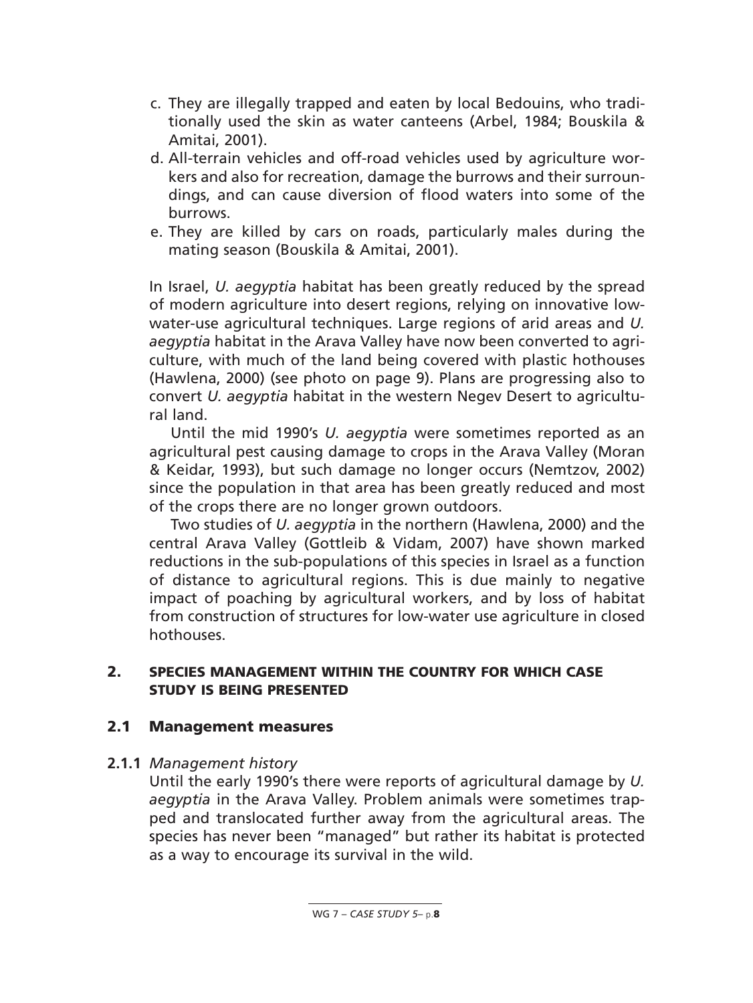- c. They are illegally trapped and eaten by local Bedouins, who traditionally used the skin as water canteens (Arbel, 1984; Bouskila & Amitai, 2001).
- d. All-terrain vehicles and off-road vehicles used by agriculture workers and also for recreation, damage the burrows and their surroundings, and can cause diversion of flood waters into some of the burrows.
- e. They are killed by cars on roads, particularly males during the mating season (Bouskila & Amitai, 2001).

In Israel, *U. aegyptia* habitat has been greatly reduced by the spread of modern agriculture into desert regions, relying on innovative lowwater-use agricultural techniques. Large regions of arid areas and *U. aegyptia* habitat in the Arava Valley have now been converted to agriculture, with much of the land being covered with plastic hothouses (Hawlena, 2000) (see photo on page 9). Plans are progressing also to convert *U. aegyptia* habitat in the western Negev Desert to agricultural land.

Until the mid 1990's *U. aegyptia* were sometimes reported as an agricultural pest causing damage to crops in the Arava Valley (Moran & Keidar, 1993), but such damage no longer occurs (Nemtzov, 2002) since the population in that area has been greatly reduced and most of the crops there are no longer grown outdoors.

Two studies of *U. aegyptia* in the northern (Hawlena, 2000) and the central Arava Valley (Gottleib & Vidam, 2007) have shown marked reductions in the sub-populations of this species in Israel as a function of distance to agricultural regions. This is due mainly to negative impact of poaching by agricultural workers, and by loss of habitat from construction of structures for low-water use agriculture in closed hothouses.

### **2. SPECIES MANAGEMENT WITHIN THE COUNTRY FOR WHICH CASE STUDY IS BEING PRESENTED**

### **2.1 Management measures**

#### **2.1.1** *Management history*

Until the early 1990's there were reports of agricultural damage by *U. aegyptia* in the Arava Valley. Problem animals were sometimes trapped and translocated further away from the agricultural areas. The species has never been "managed" but rather its habitat is protected as a way to encourage its survival in the wild.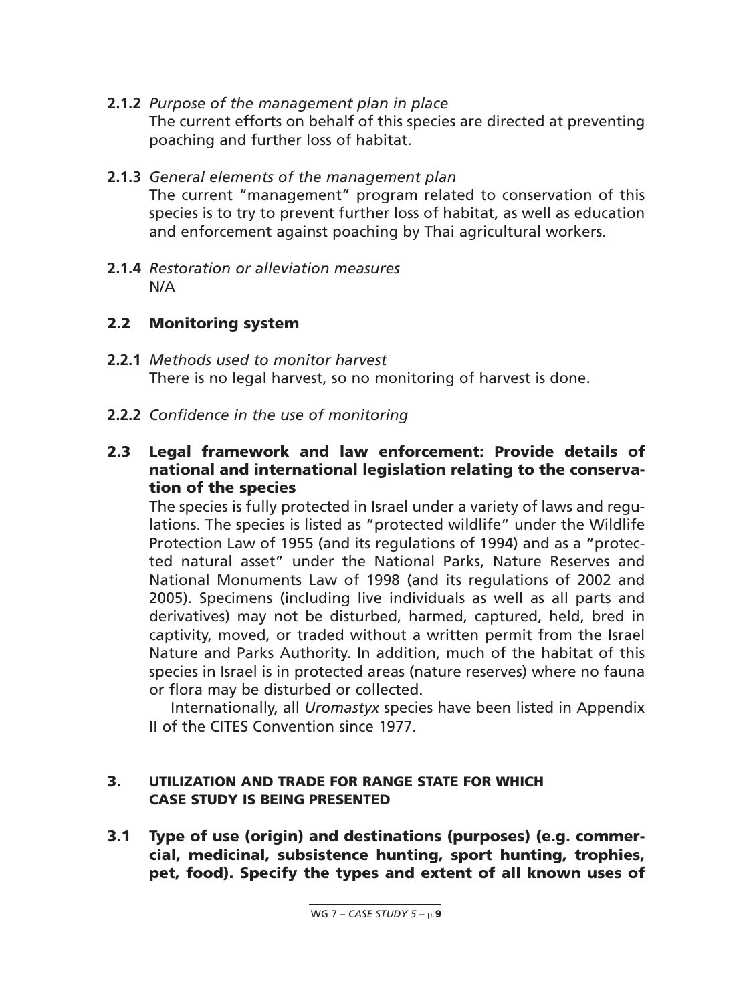- **2.1.2** *Purpose of the management plan in place* The current efforts on behalf of this species are directed at preventing poaching and further loss of habitat.
- **2.1.3** *General elements of the management plan* The current "management" program related to conservation of this species is to try to prevent further loss of habitat, as well as education and enforcement against poaching by Thai agricultural workers.
- **2.1.4** *Restoration or alleviation measures* N/A

## **2.2 Monitoring system**

- **2.2.1** *Methods used to monitor harvest* There is no legal harvest, so no monitoring of harvest is done.
- **2.2.2** *Confidence in the use of monitoring*
- **2.3 Legal framework and law enforcement: Provide details of national and international legislation relating to the conservation of the species**

The species is fully protected in Israel under a variety of laws and regulations. The species is listed as "protected wildlife" under the Wildlife Protection Law of 1955 (and its regulations of 1994) and as a "protected natural asset" under the National Parks, Nature Reserves and National Monuments Law of 1998 (and its regulations of 2002 and 2005). Specimens (including live individuals as well as all parts and derivatives) may not be disturbed, harmed, captured, held, bred in captivity, moved, or traded without a written permit from the Israel Nature and Parks Authority. In addition, much of the habitat of this species in Israel is in protected areas (nature reserves) where no fauna or flora may be disturbed or collected.

Internationally, all *Uromastyx* species have been listed in Appendix II of the CITES Convention since 1977.

### **3. UTILIZATION AND TRADE FOR RANGE STATE FOR WHICH CASE STUDY IS BEING PRESENTED**

**3.1 Type of use (origin) and destinations (purposes) (e.g. commercial, medicinal, subsistence hunting, sport hunting, trophies, pet, food). Specify the types and extent of all known uses of**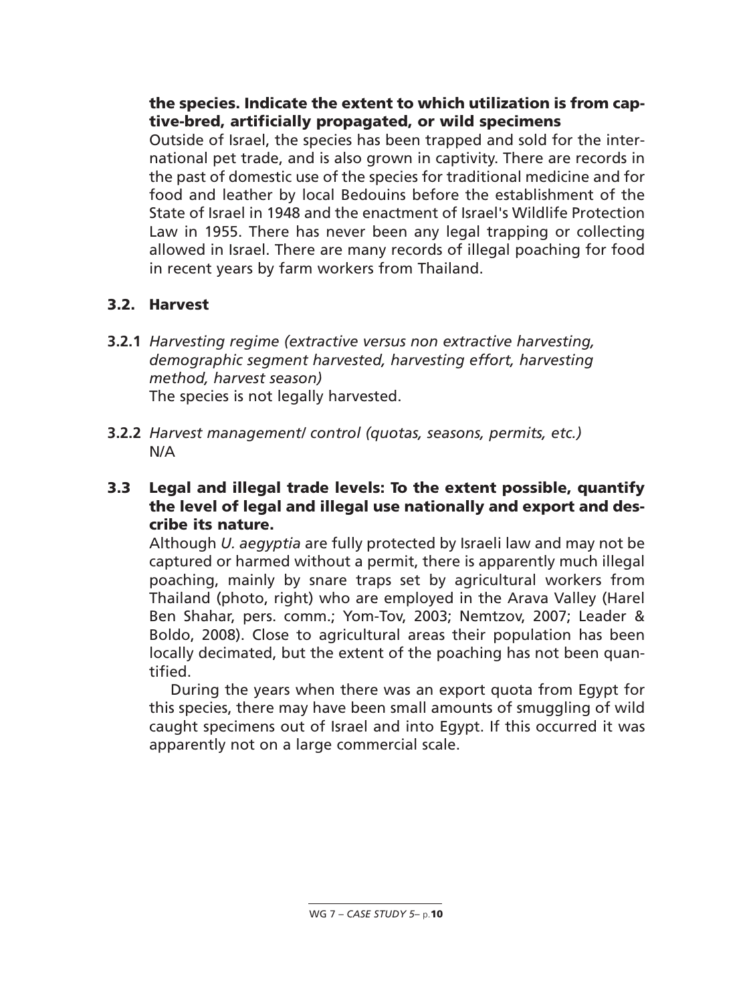### **the species. Indicate the extent to which utilization is from captive-bred, artificially propagated, or wild specimens**

Outside of Israel, the species has been trapped and sold for the international pet trade, and is also grown in captivity. There are records in the past of domestic use of the species for traditional medicine and for food and leather by local Bedouins before the establishment of the State of Israel in 1948 and the enactment of Israel's Wildlife Protection Law in 1955. There has never been any legal trapping or collecting allowed in Israel. There are many records of illegal poaching for food in recent years by farm workers from Thailand.

## **3.2. Harvest**

- **3.2.1** *Harvesting regime (extractive versus non extractive harvesting, demographic segment harvested, harvesting effort, harvesting method, harvest season)* The species is not legally harvested.
- **3.2.2** *Harvest management/ control (quotas, seasons, permits, etc.)* N/A
- **3.3 Legal and illegal trade levels: To the extent possible, quantify the level of legal and illegal use nationally and export and describe its nature.**

Although *U. aegyptia* are fully protected by Israeli law and may not be captured or harmed without a permit, there is apparently much illegal poaching, mainly by snare traps set by agricultural workers from Thailand (photo, right) who are employed in the Arava Valley (Harel Ben Shahar, pers. comm.; Yom-Tov, 2003; Nemtzov, 2007; Leader & Boldo, 2008). Close to agricultural areas their population has been locally decimated, but the extent of the poaching has not been quantified.

During the years when there was an export quota from Egypt for this species, there may have been small amounts of smuggling of wild caught specimens out of Israel and into Egypt. If this occurred it was apparently not on a large commercial scale.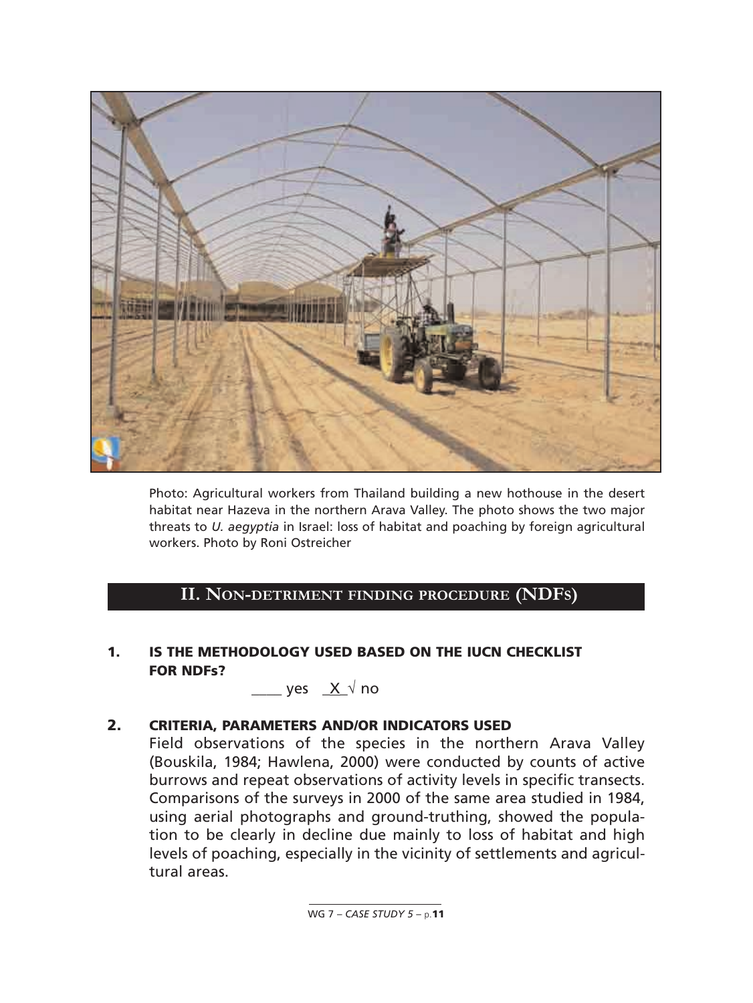

Photo: Agricultural workers from Thailand building a new hothouse in the desert habitat near Hazeva in the northern Arava Valley. The photo shows the two major threats to *U. aegyptia* in Israel: loss of habitat and poaching by foreign agricultural workers. Photo by Roni Ostreicher

## **II. NON-DETRIMENT FINDING PROCEDURE (NDFS)**

### **1. IS THE METHODOLOGY USED BASED ON THE IUCN CHECKLIST FOR NDFs?**

 $yes$   $X \sqrt{n}$ 

#### **2. CRITERIA, PARAMETERS AND/OR INDICATORS USED**

Field observations of the species in the northern Arava Valley (Bouskila, 1984; Hawlena, 2000) were conducted by counts of active burrows and repeat observations of activity levels in specific transects. Comparisons of the surveys in 2000 of the same area studied in 1984, using aerial photographs and ground-truthing, showed the population to be clearly in decline due mainly to loss of habitat and high levels of poaching, especially in the vicinity of settlements and agricultural areas.

WG 7 – *CASE STUDY 5* – p.**11**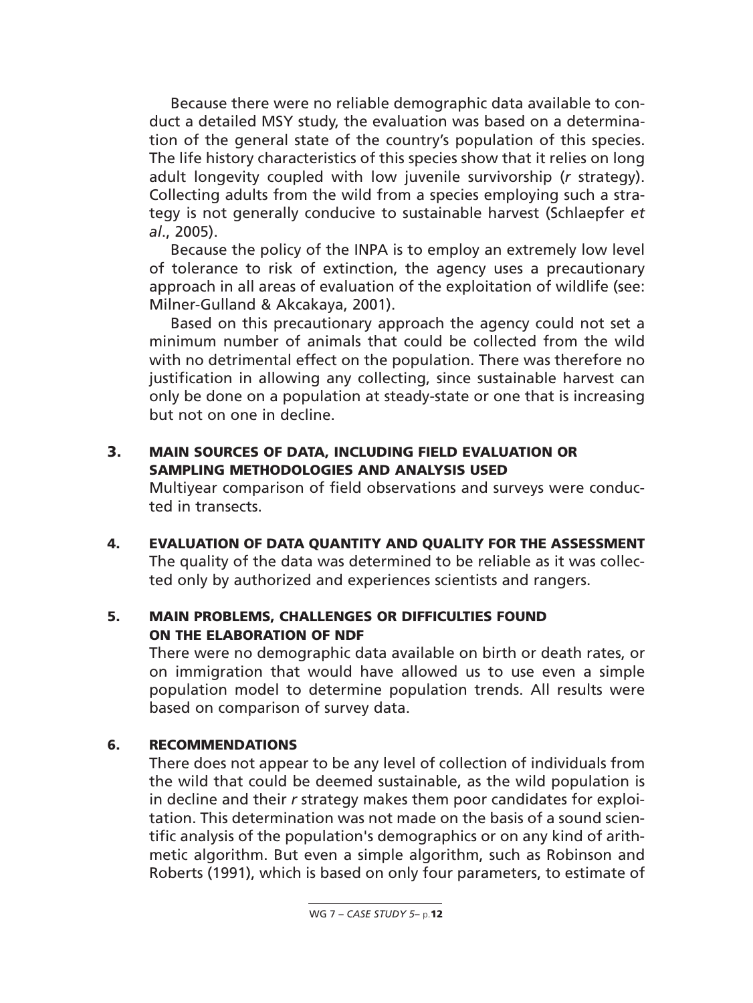Because there were no reliable demographic data available to conduct a detailed MSY study, the evaluation was based on a determination of the general state of the country's population of this species. The life history characteristics of this species show that it relies on long adult longevity coupled with low juvenile survivorship (*r* strategy). Collecting adults from the wild from a species employing such a strategy is not generally conducive to sustainable harvest (Schlaepfer *et al*., 2005).

Because the policy of the INPA is to employ an extremely low level of tolerance to risk of extinction, the agency uses a precautionary approach in all areas of evaluation of the exploitation of wildlife (see: Milner-Gulland & Akcakaya, 2001).

Based on this precautionary approach the agency could not set a minimum number of animals that could be collected from the wild with no detrimental effect on the population. There was therefore no justification in allowing any collecting, since sustainable harvest can only be done on a population at steady-state or one that is increasing but not on one in decline.

**3. MAIN SOURCES OF DATA, INCLUDING FIELD EVALUATION OR SAMPLING METHODOLOGIES AND ANALYSIS USED**

Multiyear comparison of field observations and surveys were conducted in transects.

**4. EVALUATION OF DATA QUANTITY AND QUALITY FOR THE ASSESSMENT** The quality of the data was determined to be reliable as it was collected only by authorized and experiences scientists and rangers.

### **5. MAIN PROBLEMS, CHALLENGES OR DIFFICULTIES FOUND ON THE ELABORATION OF NDF**

There were no demographic data available on birth or death rates, or on immigration that would have allowed us to use even a simple population model to determine population trends. All results were based on comparison of survey data.

### **6. RECOMMENDATIONS**

There does not appear to be any level of collection of individuals from the wild that could be deemed sustainable, as the wild population is in decline and their *r* strategy makes them poor candidates for exploitation. This determination was not made on the basis of a sound scientific analysis of the population's demographics or on any kind of arithmetic algorithm. But even a simple algorithm, such as Robinson and Roberts (1991), which is based on only four parameters, to estimate of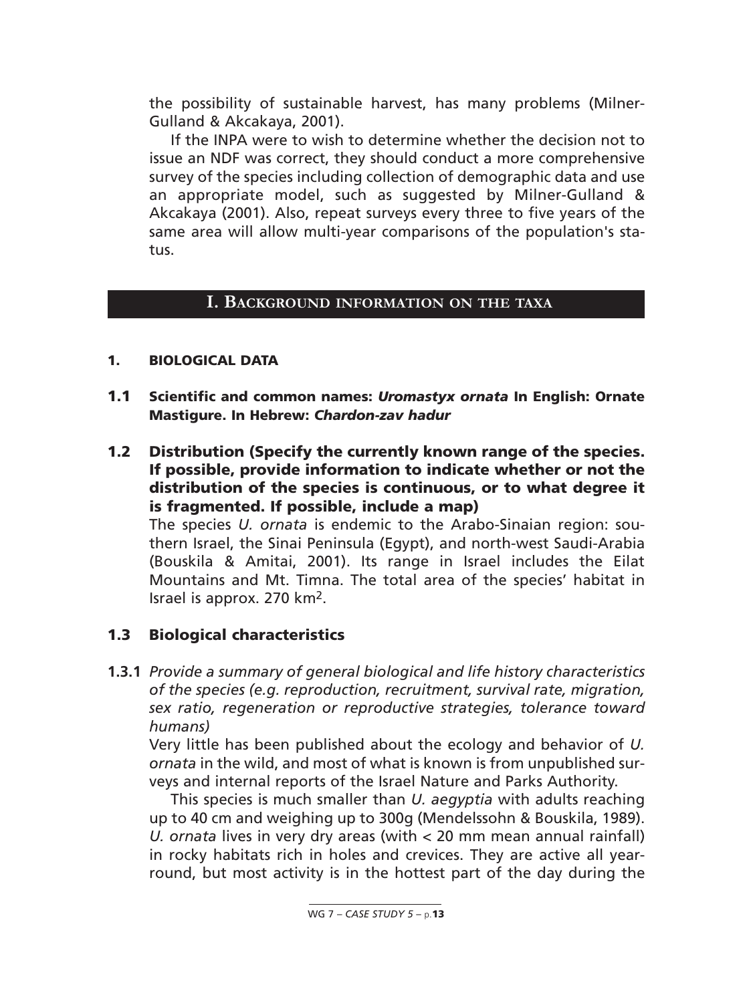the possibility of sustainable harvest, has many problems (Milner-Gulland & Akcakaya, 2001).

If the INPA were to wish to determine whether the decision not to issue an NDF was correct, they should conduct a more comprehensive survey of the species including collection of demographic data and use an appropriate model, such as suggested by Milner-Gulland & Akcakaya (2001). Also, repeat surveys every three to five years of the same area will allow multi-year comparisons of the population's status.

#### **I. BACKGROUND INFORMATION ON THE TAXA**

#### **1. BIOLOGICAL DATA**

- **1.1 Scientific and common names:** *Uromastyx ornata* **In English: Ornate Mastigure. In Hebrew:** *Chardon-zav hadur*
- **1.2 Distribution (Specify the currently known range of the species. If possible, provide information to indicate whether or not the distribution of the species is continuous, or to what degree it is fragmented. If possible, include a map)**

The species *U. ornata* is endemic to the Arabo-Sinaian region: southern Israel, the Sinai Peninsula (Egypt), and north-west Saudi-Arabia (Bouskila & Amitai, 2001). Its range in Israel includes the Eilat Mountains and Mt. Timna. The total area of the species' habitat in Israel is approx. 270 km2.

### **1.3 Biological characteristics**

**1.3.1** *Provide a summary of general biological and life history characteristics of the species (e.g. reproduction, recruitment, survival rate, migration, sex ratio, regeneration or reproductive strategies, tolerance toward humans)*

Very little has been published about the ecology and behavior of *U. ornata* in the wild, and most of what is known is from unpublished surveys and internal reports of the Israel Nature and Parks Authority.

This species is much smaller than *U. aegyptia* with adults reaching up to 40 cm and weighing up to 300g (Mendelssohn & Bouskila, 1989). *U. ornata* lives in very dry areas (with < 20 mm mean annual rainfall) in rocky habitats rich in holes and crevices. They are active all yearround, but most activity is in the hottest part of the day during the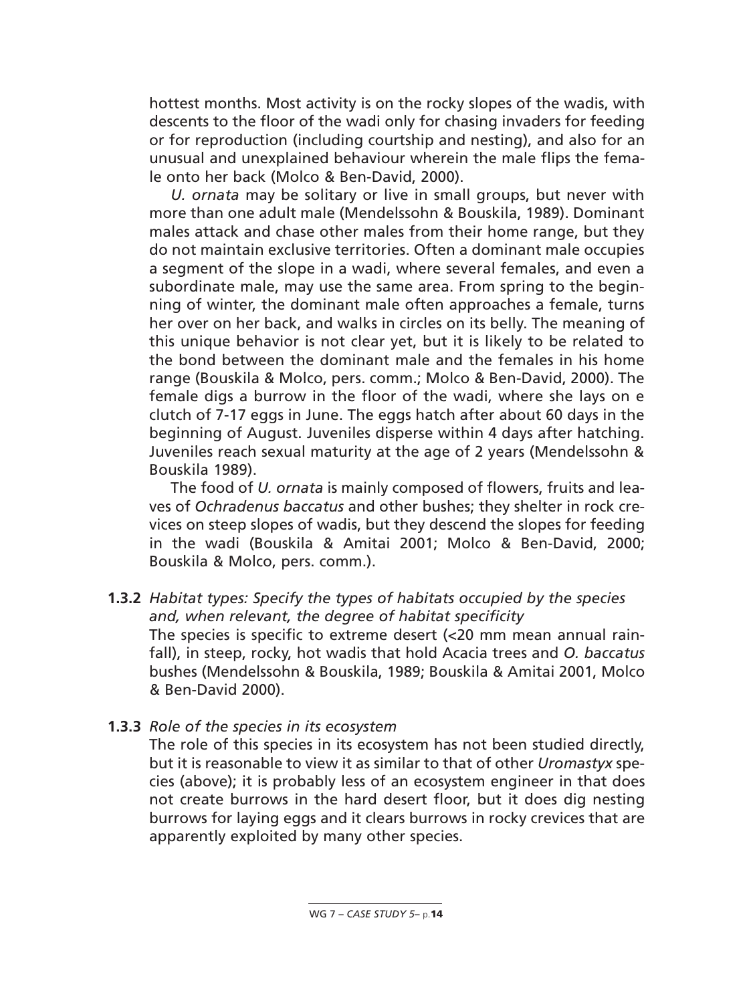hottest months. Most activity is on the rocky slopes of the wadis, with descents to the floor of the wadi only for chasing invaders for feeding or for reproduction (including courtship and nesting), and also for an unusual and unexplained behaviour wherein the male flips the female onto her back (Molco & Ben-David, 2000).

*U. ornata* may be solitary or live in small groups, but never with more than one adult male (Mendelssohn & Bouskila, 1989). Dominant males attack and chase other males from their home range, but they do not maintain exclusive territories. Often a dominant male occupies a segment of the slope in a wadi, where several females, and even a subordinate male, may use the same area. From spring to the beginning of winter, the dominant male often approaches a female, turns her over on her back, and walks in circles on its belly. The meaning of this unique behavior is not clear yet, but it is likely to be related to the bond between the dominant male and the females in his home range (Bouskila & Molco, pers. comm.; Molco & Ben-David, 2000). The female digs a burrow in the floor of the wadi, where she lays on e clutch of 7-17 eggs in June. The eggs hatch after about 60 days in the beginning of August. Juveniles disperse within 4 days after hatching. Juveniles reach sexual maturity at the age of 2 years (Mendelssohn & Bouskila 1989).

The food of *U. ornata* is mainly composed of flowers, fruits and leaves of *Ochradenus baccatus* and other bushes; they shelter in rock crevices on steep slopes of wadis, but they descend the slopes for feeding in the wadi (Bouskila & Amitai 2001; Molco & Ben-David, 2000; Bouskila & Molco, pers. comm.).

- **1.3.2** *Habitat types: Specify the types of habitats occupied by the species and, when relevant, the degree of habitat specificity* The species is specific to extreme desert (<20 mm mean annual rainfall), in steep, rocky, hot wadis that hold Acacia trees and *O. baccatus* bushes (Mendelssohn & Bouskila, 1989; Bouskila & Amitai 2001, Molco & Ben-David 2000).
- **1.3.3** *Role of the species in its ecosystem*

The role of this species in its ecosystem has not been studied directly, but it is reasonable to view it as similar to that of other *Uromastyx* species (above); it is probably less of an ecosystem engineer in that does not create burrows in the hard desert floor, but it does dig nesting burrows for laying eggs and it clears burrows in rocky crevices that are apparently exploited by many other species.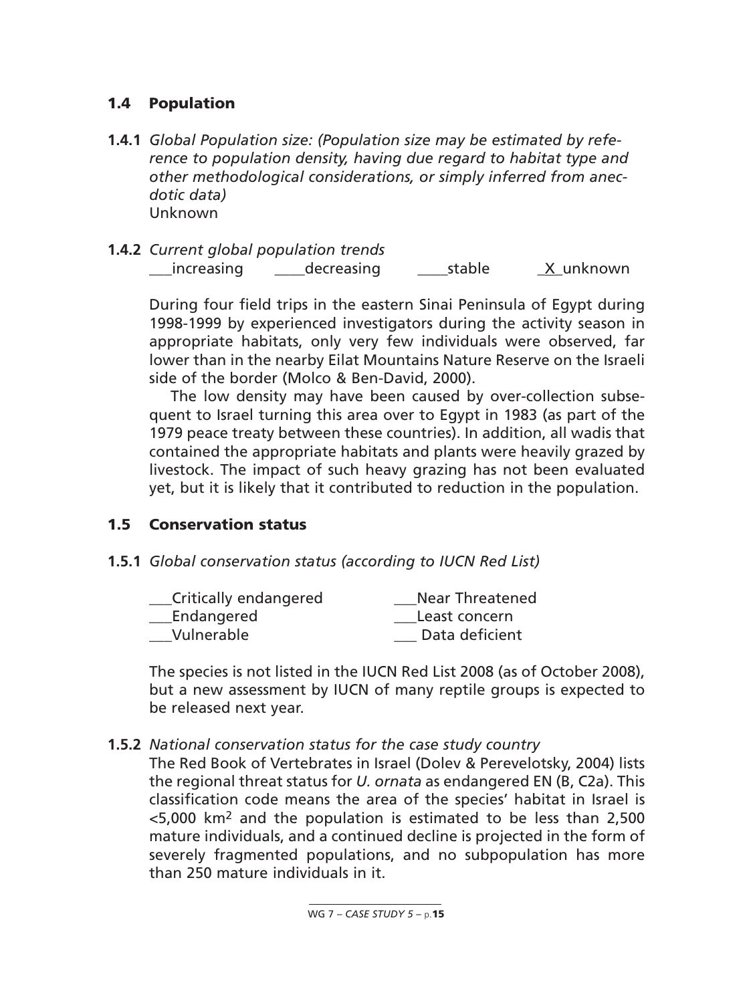## **1.4 Population**

- **1.4.1** *Global Population size: (Population size may be estimated by reference to population density, having due regard to habitat type and other methodological considerations, or simply inferred from anecdotic data)* Unknown
- **1.4.2** *Current global population trends* \_\_\_increasing \_\_\_\_decreasing \_\_\_\_stable \_X\_unknown

During four field trips in the eastern Sinai Peninsula of Egypt during 1998-1999 by experienced investigators during the activity season in appropriate habitats, only very few individuals were observed, far lower than in the nearby Eilat Mountains Nature Reserve on the Israeli side of the border (Molco & Ben-David, 2000).

The low density may have been caused by over-collection subsequent to Israel turning this area over to Egypt in 1983 (as part of the 1979 peace treaty between these countries). In addition, all wadis that contained the appropriate habitats and plants were heavily grazed by livestock. The impact of such heavy grazing has not been evaluated yet, but it is likely that it contributed to reduction in the population.

### **1.5 Conservation status**

**1.5.1** *Global conservation status (according to IUCN Red List)*

| Critically endangered | <b>Near Threatened</b> |
|-----------------------|------------------------|
| Endangered            | Least concern          |
| Vulnerable            | Data deficient         |

The species is not listed in the IUCN Red List 2008 (as of October 2008), but a new assessment by IUCN of many reptile groups is expected to be released next year.

**1.5.2** *National conservation status for the case study country*

The Red Book of Vertebrates in Israel (Dolev & Perevelotsky, 2004) lists the regional threat status for *U. ornata* as endangered EN (B, C2a). This classification code means the area of the species' habitat in Israel is <5,000 km2 and the population is estimated to be less than 2,500 mature individuals, and a continued decline is projected in the form of severely fragmented populations, and no subpopulation has more than 250 mature individuals in it.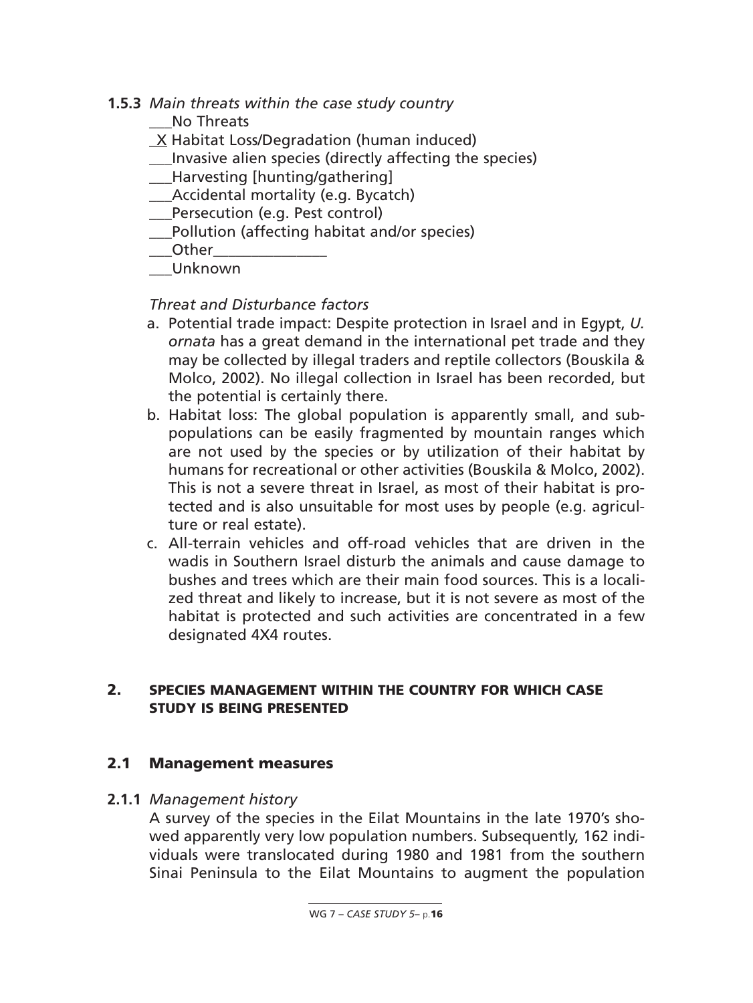**1.5.3** *Main threats within the case study country*

No Threats

- \_X Habitat Loss/Degradation (human induced)
- Invasive alien species (directly affecting the species)
- \_\_\_Harvesting [hunting/gathering]
- Accidental mortality (e.g. Bycatch)
- Persecution (e.g. Pest control)
- \_\_\_Pollution (affecting habitat and/or species)
- \_\_\_Other\_\_\_\_\_\_\_\_\_\_\_\_\_\_\_
- \_\_\_Unknown

## *Threat and Disturbance factors*

- a. Potential trade impact: Despite protection in Israel and in Egypt, *U. ornata* has a great demand in the international pet trade and they may be collected by illegal traders and reptile collectors (Bouskila & Molco, 2002). No illegal collection in Israel has been recorded, but the potential is certainly there.
- b. Habitat loss: The global population is apparently small, and subpopulations can be easily fragmented by mountain ranges which are not used by the species or by utilization of their habitat by humans for recreational or other activities (Bouskila & Molco, 2002). This is not a severe threat in Israel, as most of their habitat is protected and is also unsuitable for most uses by people (e.g. agriculture or real estate).
- c. All-terrain vehicles and off-road vehicles that are driven in the wadis in Southern Israel disturb the animals and cause damage to bushes and trees which are their main food sources. This is a localized threat and likely to increase, but it is not severe as most of the habitat is protected and such activities are concentrated in a few designated 4X4 routes.

### **2. SPECIES MANAGEMENT WITHIN THE COUNTRY FOR WHICH CASE STUDY IS BEING PRESENTED**

### **2.1 Management measures**

**2.1.1** *Management history*

A survey of the species in the Eilat Mountains in the late 1970's showed apparently very low population numbers. Subsequently, 162 individuals were translocated during 1980 and 1981 from the southern Sinai Peninsula to the Eilat Mountains to augment the population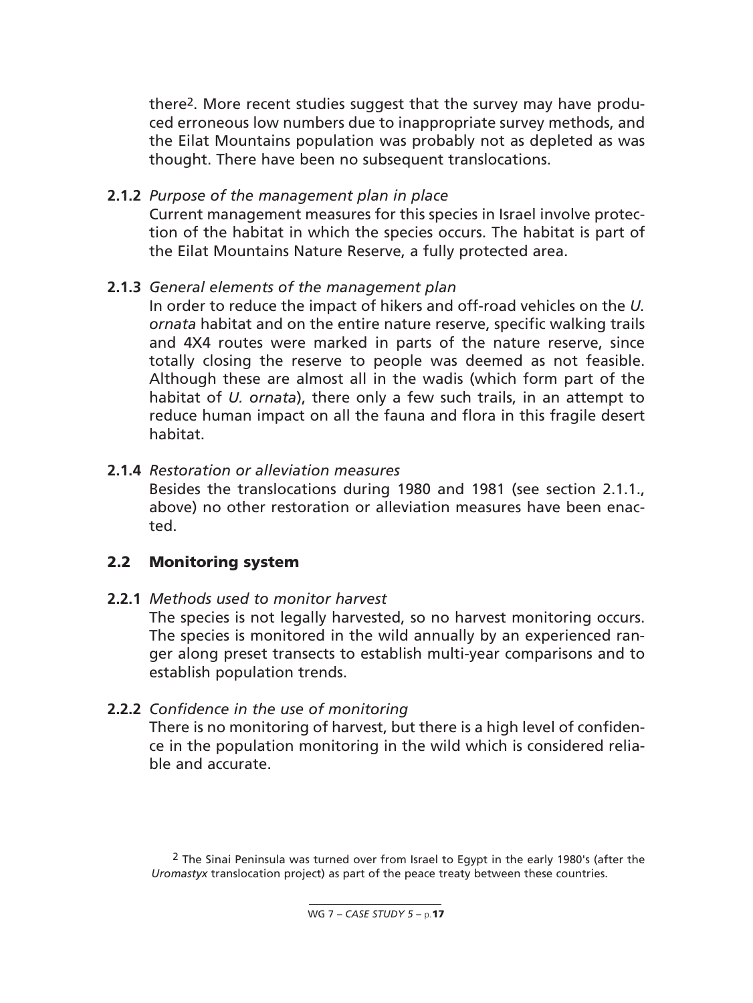there2. More recent studies suggest that the survey may have produced erroneous low numbers due to inappropriate survey methods, and the Eilat Mountains population was probably not as depleted as was thought. There have been no subsequent translocations.

#### **2.1.2** *Purpose of the management plan in place*

Current management measures for this species in Israel involve protection of the habitat in which the species occurs. The habitat is part of the Eilat Mountains Nature Reserve, a fully protected area.

#### **2.1.3** *General elements of the management plan*

In order to reduce the impact of hikers and off-road vehicles on the *U. ornata* habitat and on the entire nature reserve, specific walking trails and 4X4 routes were marked in parts of the nature reserve, since totally closing the reserve to people was deemed as not feasible. Although these are almost all in the wadis (which form part of the habitat of *U. ornata*), there only a few such trails, in an attempt to reduce human impact on all the fauna and flora in this fragile desert habitat.

#### **2.1.4** *Restoration or alleviation measures*

Besides the translocations during 1980 and 1981 (see section 2.1.1., above) no other restoration or alleviation measures have been enacted.

#### **2.2 Monitoring system**

#### **2.2.1** *Methods used to monitor harvest*

The species is not legally harvested, so no harvest monitoring occurs. The species is monitored in the wild annually by an experienced ranger along preset transects to establish multi-year comparisons and to establish population trends.

#### **2.2.2** *Confidence in the use of monitoring*

There is no monitoring of harvest, but there is a high level of confidence in the population monitoring in the wild which is considered reliable and accurate.

 $2$  The Sinai Peninsula was turned over from Israel to Egypt in the early 1980's (after the *Uromastyx* translocation project) as part of the peace treaty between these countries.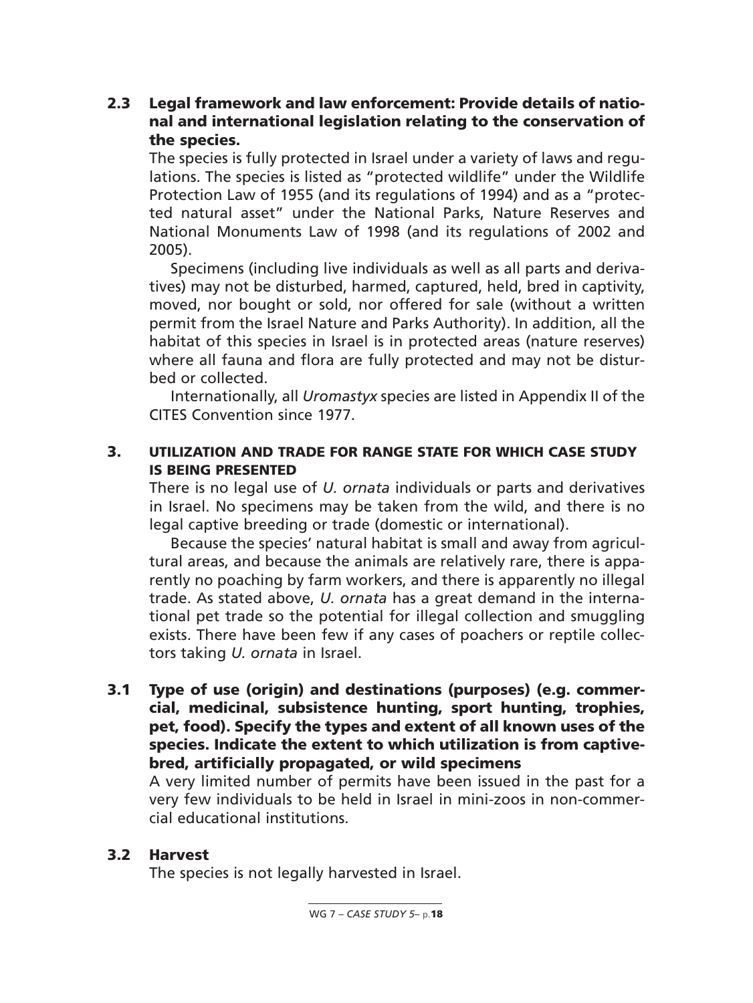## **2.3 Legal framework and law enforcement: Provide details of national and international legislation relating to the conservation of the species.**

The species is fully protected in Israel under a variety of laws and regulations. The species is listed as "protected wildlife" under the Wildlife Protection Law of 1955 (and its regulations of 1994) and as a "protected natural asset" under the National Parks, Nature Reserves and National Monuments Law of 1998 (and its regulations of 2002 and 2005).

Specimens (including live individuals as well as all parts and derivatives) may not be disturbed, harmed, captured, held, bred in captivity, moved, nor bought or sold, nor offered for sale (without a written permit from the Israel Nature and Parks Authority). In addition, all the habitat of this species in Israel is in protected areas (nature reserves) where all fauna and flora are fully protected and may not be disturbed or collected.

Internationally, all *Uromastyx* species are listed in Appendix II of the CITES Convention since 1977.

## **3. UTILIZATION AND TRADE FOR RANGE STATE FOR WHICH CASE STUDY IS BEING PRESENTED**

There is no legal use of *U. ornata* individuals or parts and derivatives in Israel. No specimens may be taken from the wild, and there is no legal captive breeding or trade (domestic or international).

Because the species' natural habitat is small and away from agricultural areas, and because the animals are relatively rare, there is apparently no poaching by farm workers, and there is apparently no illegal trade. As stated above, *U. ornata* has a great demand in the international pet trade so the potential for illegal collection and smuggling exists. There have been few if any cases of poachers or reptile collectors taking *U. ornata* in Israel.

**3.1 Type of use (origin) and destinations (purposes) (e.g. commercial, medicinal, subsistence hunting, sport hunting, trophies, pet, food). Specify the types and extent of all known uses of the species. Indicate the extent to which utilization is from captivebred, artificially propagated, or wild specimens**

A very limited number of permits have been issued in the past for a very few individuals to be held in Israel in mini-zoos in non-commercial educational institutions.

## **3.2 Harvest**

The species is not legally harvested in Israel.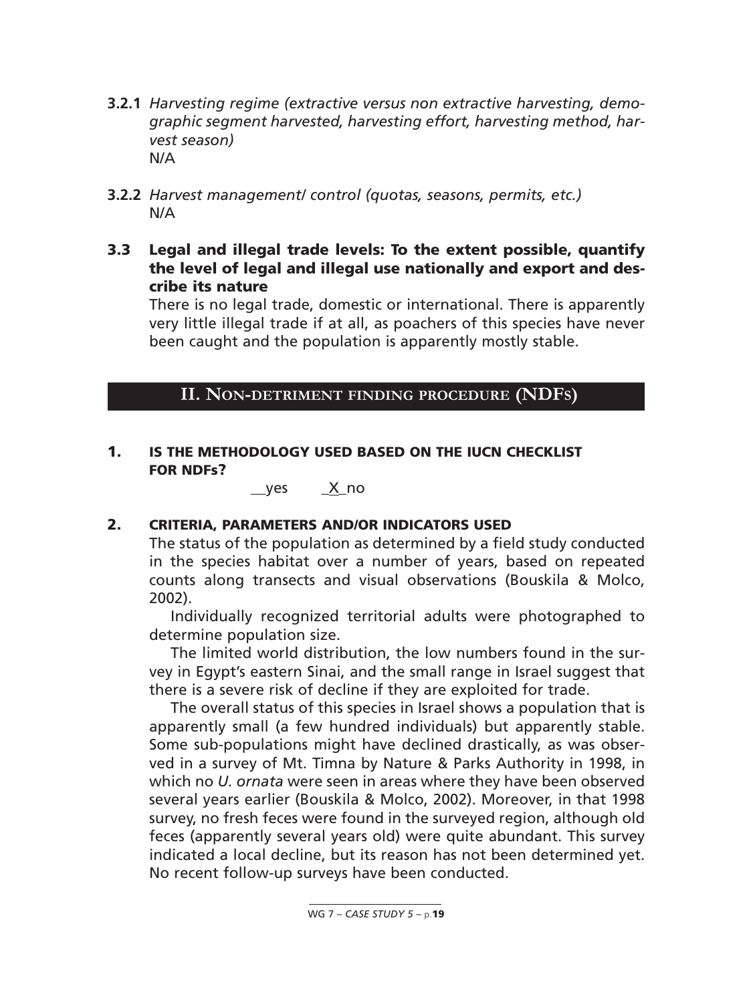- **3.2.1** *Harvesting regime (extractive versus non extractive harvesting, demographic segment harvested, harvesting effort, harvesting method, harvest season)* N/A
- **3.2.2** *Harvest management/ control (quotas, seasons, permits, etc.)* N/A
- **3.3 Legal and illegal trade levels: To the extent possible, quantify the level of legal and illegal use nationally and export and describe its nature**

There is no legal trade, domestic or international. There is apparently very little illegal trade if at all, as poachers of this species have never been caught and the population is apparently mostly stable.

### **II. NON-DETRIMENT FINDING PROCEDURE (NDFS)**

#### **1. IS THE METHODOLOGY USED BASED ON THE IUCN CHECKLIST FOR NDFs?**

 $\angle$ yes  $\angle$  X no

#### **2. CRITERIA, PARAMETERS AND/OR INDICATORS USED**

The status of the population as determined by a field study conducted in the species habitat over a number of years, based on repeated counts along transects and visual observations (Bouskila & Molco, 2002).

Individually recognized territorial adults were photographed to determine population size.

The limited world distribution, the low numbers found in the survey in Egypt's eastern Sinai, and the small range in Israel suggest that there is a severe risk of decline if they are exploited for trade.

The overall status of this species in Israel shows a population that is apparently small (a few hundred individuals) but apparently stable. Some sub-populations might have declined drastically, as was observed in a survey of Mt. Timna by Nature & Parks Authority in 1998, in which no *U. ornata* were seen in areas where they have been observed several years earlier (Bouskila & Molco, 2002). Moreover, in that 1998 survey, no fresh feces were found in the surveyed region, although old feces (apparently several years old) were quite abundant. This survey indicated a local decline, but its reason has not been determined yet. No recent follow-up surveys have been conducted.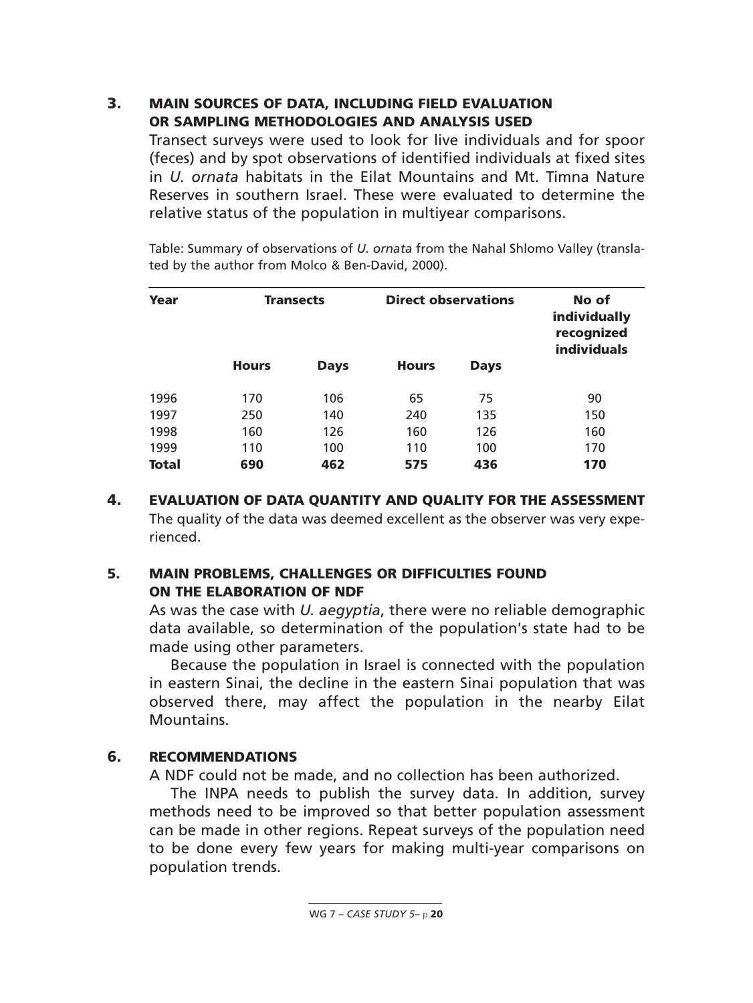### **3. MAIN SOURCES OF DATA, INCLUDING FIELD EVALUATION OR SAMPLING METHODOLOGIES AND ANALYSIS USED**

Transect surveys were used to look for live individuals and for spoor (feces) and by spot observations of identified individuals at fixed sites in *U. ornata* habitats in the Eilat Mountains and Mt. Timna Nature Reserves in southern Israel. These were evaluated to determine the relative status of the population in multiyear comparisons.

Table: Summary of observations of *U. ornata* from the Nahal Shlomo Valley (translated by the author from Molco & Ben-David, 2000).

| Year         |              | <b>Transects</b> |              | <b>Direct observations</b> | No of<br><b>individually</b><br>recognized<br><b>individuals</b> |
|--------------|--------------|------------------|--------------|----------------------------|------------------------------------------------------------------|
|              | <b>Hours</b> | <b>Days</b>      | <b>Hours</b> | <b>Days</b>                |                                                                  |
| 1996         | 170          | 106              | 65           | 75                         | 90                                                               |
| 1997         | 250          | 140              | 240          | 135                        | 150                                                              |
| 1998         | 160          | 126              | 160          | 126                        | 160                                                              |
| 1999         | 110          | 100              | 110          | 100                        | 170                                                              |
| <b>Total</b> | 690          | 462              | 575          | 436                        | 170                                                              |

**4. EVALUATION OF DATA QUANTITY AND QUALITY FOR THE ASSESSMENT** The quality of the data was deemed excellent as the observer was very experienced.

### **5. MAIN PROBLEMS, CHALLENGES OR DIFFICULTIES FOUND ON THE ELABORATION OF NDF**

As was the case with *U. aegyptia*, there were no reliable demographic data available, so determination of the population's state had to be made using other parameters.

Because the population in Israel is connected with the population in eastern Sinai, the decline in the eastern Sinai population that was observed there, may affect the population in the nearby Eilat Mountains.

### **6. RECOMMENDATIONS**

A NDF could not be made, and no collection has been authorized.

The INPA needs to publish the survey data. In addition, survey methods need to be improved so that better population assessment can be made in other regions. Repeat surveys of the population need to be done every few years for making multi-year comparisons on population trends.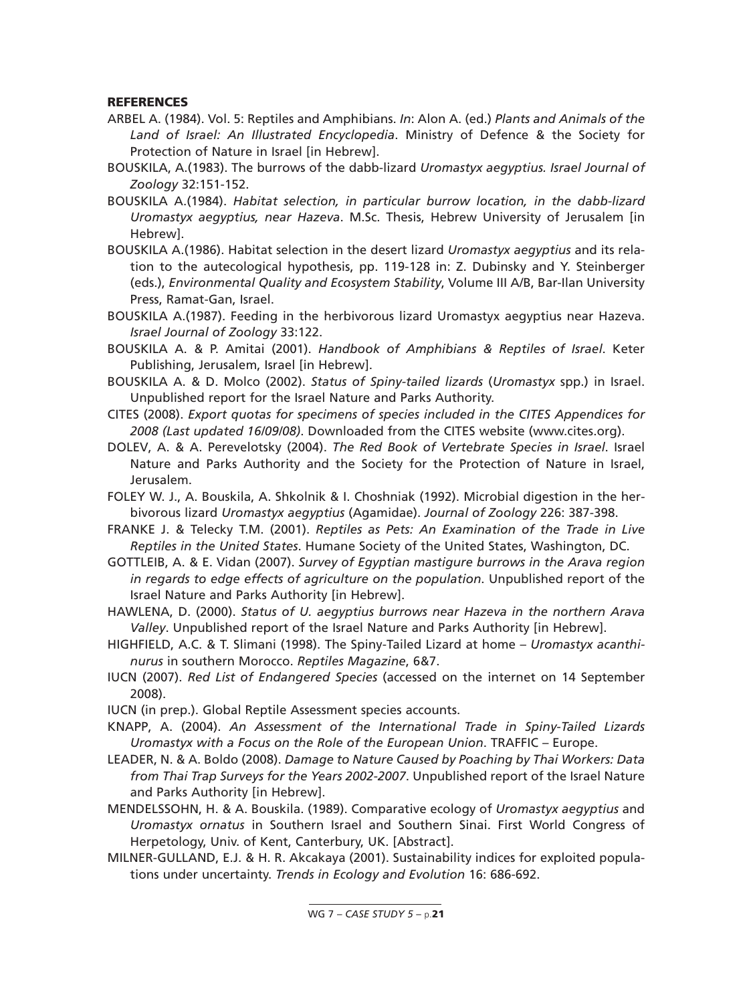#### **REFERENCES**

- ARBEL A. (1984). Vol. 5: Reptiles and Amphibians. *In*: Alon A. (ed.) *Plants and Animals of the Land of Israel: An Illustrated Encyclopedia*. Ministry of Defence & the Society for Protection of Nature in Israel [in Hebrew].
- BOUSKILA, A.(1983). The burrows of the dabb-lizard *Uromastyx aegyptius. Israel Journal of Zoology* 32:151-152.
- BOUSKILA A.(1984). *Habitat selection, in particular burrow location, in the dabb-lizard Uromastyx aegyptius, near Hazeva*. M.Sc. Thesis, Hebrew University of Jerusalem [in Hebrew].
- BOUSKILA A.(1986). Habitat selection in the desert lizard *Uromastyx aegyptius* and its relation to the autecological hypothesis, pp. 119-128 in: Z. Dubinsky and Y. Steinberger (eds.), *Environmental Quality and Ecosystem Stability*, Volume III A/B, Bar-Ilan University Press, Ramat-Gan, Israel.
- BOUSKILA A.(1987). Feeding in the herbivorous lizard Uromastyx aegyptius near Hazeva. *Israel Journal of Zoology* 33:122.
- BOUSKILA A. & P. Amitai (2001). *Handbook of Amphibians & Reptiles of Israel*. Keter Publishing, Jerusalem, Israel [in Hebrew].
- BOUSKILA A. & D. Molco (2002). *Status of Spiny-tailed lizards* (*Uromastyx* spp.) in Israel. Unpublished report for the Israel Nature and Parks Authority.
- CITES (2008). *Export quotas for specimens of species included in the CITES Appendices for 2008 (Last updated 16/09/08)*. Downloaded from the CITES website (www.cites.org).
- DOLEV, A. & A. Perevelotsky (2004). *The Red Book of Vertebrate Species in Israel*. Israel Nature and Parks Authority and the Society for the Protection of Nature in Israel, Jerusalem.
- FOLEY W. J., A. Bouskila, A. Shkolnik & I. Choshniak (1992). Microbial digestion in the herbivorous lizard *Uromastyx aegyptius* (Agamidae). *Journal of Zoology* 226: 387-398.
- FRANKE J. & Telecky T.M. (2001). *Reptiles as Pets: An Examination of the Trade in Live Reptiles in the United States*. Humane Society of the United States, Washington, DC.
- GOTTLEIB, A. & E. Vidan (2007). *Survey of Egyptian mastigure burrows in the Arava region in regards to edge effects of agriculture on the population*. Unpublished report of the Israel Nature and Parks Authority [in Hebrew].
- HAWLENA, D. (2000). *Status of U. aegyptius burrows near Hazeva in the northern Arava Valley*. Unpublished report of the Israel Nature and Parks Authority [in Hebrew].
- HIGHFIELD, A.C. & T. Slimani (1998). The Spiny-Tailed Lizard at home *Uromastyx acanthinurus* in southern Morocco. *Reptiles Magazine*, 6&7.
- IUCN (2007). *Red List of Endangered Species* (accessed on the internet on 14 September 2008).
- IUCN (in prep.). Global Reptile Assessment species accounts.
- KNAPP, A. (2004). *An Assessment of the International Trade in Spiny-Tailed Lizards Uromastyx with a Focus on the Role of the European Union*. TRAFFIC – Europe.
- LEADER, N. & A. Boldo (2008). *Damage to Nature Caused by Poaching by Thai Workers: Data from Thai Trap Surveys for the Years 2002-2007*. Unpublished report of the Israel Nature and Parks Authority [in Hebrew].
- MENDELSSOHN, H. & A. Bouskila. (1989). Comparative ecology of *Uromastyx aegyptius* and *Uromastyx ornatus* in Southern Israel and Southern Sinai. First World Congress of Herpetology, Univ. of Kent, Canterbury, UK. [Abstract].
- MILNER-GULLAND, E.J. & H. R. Akcakaya (2001). Sustainability indices for exploited populations under uncertainty. *Trends in Ecology and Evolution* 16: 686-692.